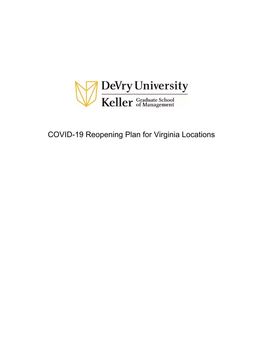

# COVID-19 Reopening Plan for Virginia Locations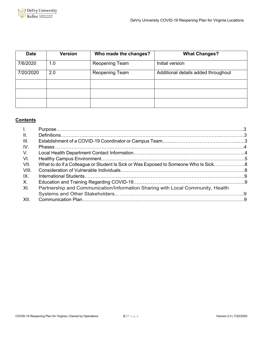

| <b>Date</b> | Version | Who made the changes? | <b>What Changes?</b>                |
|-------------|---------|-----------------------|-------------------------------------|
| 7/6/2020    | 1.0     | Reopening Team        | Initial version                     |
| 7/20/2020   | 2.0     | Reopening Team        | Additional details added throughout |
|             |         |                       |                                     |
|             |         |                       |                                     |
|             |         |                       |                                     |

## **Contents**

| $\mathbf{L}$    |                                                                                     |  |
|-----------------|-------------------------------------------------------------------------------------|--|
| $\mathbf{II}$ . |                                                                                     |  |
| III.            |                                                                                     |  |
| IV.             |                                                                                     |  |
| V.              |                                                                                     |  |
| VI.             |                                                                                     |  |
| VII.            | What to do if a Colleague or Student Is Sick or Was Exposed to Someone Who Is Sick8 |  |
| -VIII.          |                                                                                     |  |
| IX.             |                                                                                     |  |
| Χ.              |                                                                                     |  |
| XI.             | Partnership and Communication/Information Sharing with Local Community, Health      |  |
|                 |                                                                                     |  |
| XII.            |                                                                                     |  |
|                 |                                                                                     |  |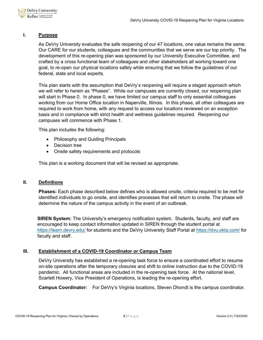

## **I. Purpose**

As DeVry University evaluates the safe reopening of our 47 locations, one value remains the same. Our CARE for our students, colleagues and the communities that we serve are our top priority. The development of this re-opening plan was sponsored by our University Executive Committee, and crafted by a cross functional team of colleagues and other stakeholders all working toward one goal, to re-open our physical locations safely while ensuring that we follow the guidelines of our federal, state and local experts.

This plan starts with the assumption that DeVry's reopening will require a staged approach which we will refer to herein as "Phases". While our campuses are currently closed, our reopening plan will start in Phase 0. In phase 0, we have limited our campus staff to only essential colleagues working from our Home Office location in Naperville, Illinois. In this phase, all other colleagues are required to work from home, with any request to access our locations reviewed on an exception basis and in compliance with strict health and wellness guidelines required. Reopening our campuses will commence with Phase 1.

This plan includes the following:

- Philosophy and Guiding Principals
- Decision tree
- Onsite safety requirements and protocols

This plan is a working document that will be revised as appropriate.

## **II. Definitions**

**Phases:** Each phase described below defines who is allowed onsite, criteria required to be met for identified individuals to go onsite, and identifies processes that will return to onsite. The phase will determine the nature of the campus activity in the event of an outbreak.

**SIREN System:** The University's emergency notification system. Students, faculty, and staff are encouraged to keep contact information updated in SIREN through the student portal at <https://learn.devry.edu/> for students and the DeVry University Staff Portal at<https://dvu.okta.com/> for faculty and staff.

## **III. Establishment of a COVID-19 Coordinator or Campus Team**

DeVry University has established a re-opening task force to ensure a coordinated effort to resume on-site operations after the temporary closures and shift to online instruction due to the COVID-19 pandemic. All functional areas are included in the re-opening task force. At the national level, Scarlett Howery, Vice President of Operations, is leading the re-opening effort.

**Campus Coordinator:** For DeVry's Virginia locations, Steven Dhondt is the campus coordinator.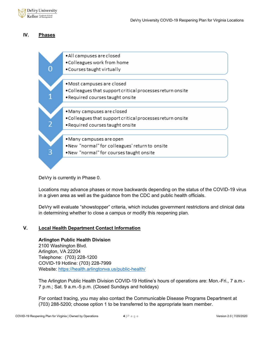

## **IV. Phases**

| · All campuses are closed                                  |
|------------------------------------------------------------|
| • Colleagues work from home                                |
| . Courses taught virtually                                 |
| ·Most campuses are closed                                  |
| . Colleagues that support critical processes return onsite |
|                                                            |
| . Required courses taught onsite                           |
|                                                            |
| · Many campuses are closed                                 |
| . Colleagues that support critical processes return onsite |
| . Required courses taught onsite                           |
|                                                            |
| • Many campuses are open                                   |
| .New "normal" for colleagues' return to onsite             |
| . New "normal" for courses taught onsite                   |
|                                                            |
|                                                            |

DeVry is currently in Phase 0.

Locations may advance phases or move backwards depending on the status of the COVID-19 virus in a given area as well as the guidance from the CDC and public health officials.

DeVry will evaluate "showstopper" criteria, which includes government restrictions and clinical data in determining whether to close a campus or modify this reopening plan.

## **V. Local Health Department Contact Information**

## **Arlington Public Health Division**

2100 Washington Blvd. Arlington, VA 22204 Telephone: (703) 228-1200 COVID-19 Hotline: (703) 228-7999 Website:<https://health.arlingtonva.us/public-health/>

The Arlington Public Health Division COVID-19 Hotline's hours of operations are: Mon.-Fri., 7 a.m.- 7 p.m.; Sat. 9 a.m.-5 p.m. (Closed Sundays and holidays)

For contact tracing, you may also contact the Communicable Disease Programs Department at (703) 288-5200; choose option 1 to be transferred to the appropriate team member.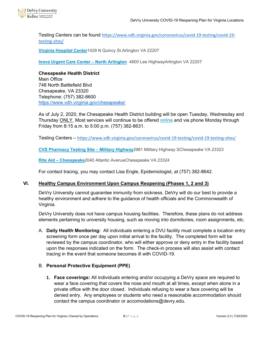

Testing Centers can be found [https://www.vdh.virginia.gov/coronavirus/covid-19-testing/covid-19](https://www.vdh.virginia.gov/coronavirus/covid-19-testing/covid-19-testing-sites/) [testing-sites/](https://www.vdh.virginia.gov/coronavirus/covid-19-testing/covid-19-testing-sites/)

**[Virginia Hospital Center](https://www.virginiahospitalcenter.com/aboutus/news/releases.aspx?story=12676§ion=226&year=2020)**1429 N Quincy St.Arlington VA 22207

**[Inova Urgent Care Center –](https://www.inova.org/locations/inova-urgent-care-north-arlington) North Arlington** 4600 Lee HighwayArlington VA 22207

**Chesapeake Health District** Main Office 748 North Battlefield Blvd Chesapeake, VA 23320 Telephone: (757) 382-8600 <https://www.vdh.virginia.gov/chesapeake/>

As of July 2, 2020, the Chesapeake Health District building will be open Tuesday, Wednesday and Thursday ONLY, Most services will continue to be offered [online](https://www.vdh.virginia.gov/chesapeake/) and via phone Monday through Friday from 8:15 a.m. to 5:00 p.m. (757) 382-8631.

Testing Centers – <https://www.vdh.virginia.gov/coronavirus/covid-19-testing/covid-19-testing-sites/>

**[CVS Pharmacy Testing Site –](https://www.cvs.com/minuteclinic/covid-19-testing) Military Highway**2981 Military Highway SChesapeake VA 23323

**Rite Aid – [Chesapeake](https://www.projectbaseline.com/study/covid-19/?utm_source=riteaid&utm_medium=covid-19&utm_campaign=website)**2040 Atlantic AvenueChesapeake VA 23324

For contact tracing, you may contact Lisa Engle, Epidemiologist, at (757) 382-8642.

## **VI. Healthy Campus Environment Upon Campus Reopening (Phases 1, 2 and 3)**

DeVry University cannot guarantee immunity from sickness. DeVry will do our best to provide a healthy environment and adhere to the guidance of health officials and the Commonwealth of Virginia.

DeVry University does not have campus housing facilities. Therefore, these plans do not address elements pertaining to university housing, such as moving into dormitories, room assignments, etc.

A. **Daily Health Monitoring:** All individuals entering a DVU facility must complete a location entry screening form once per day upon initial arrival to the facility. The completed form will be reviewed by the campus coordinator, who will either approve or deny entry in the facility based upon the responses indicated on the form. The check-in process will also assist with contact tracing in the event that someone becomes ill with COVID-19.

## B. **Personal Protective Equipment (PPE)**

**1. Face coverings:** All individuals entering and/or occupying a DeVry space are required to wear a face covering that covers the nose and mouth at all times, except when alone in a private office with the door closed. Individuals refusing to wear a face covering will be denied entry. Any employees or students who need a reasonable accommodation should contact the campus coordinator or accomodations@devry.edu.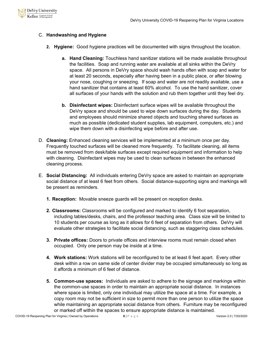

## C. **Handwashing and Hygiene**

- **2. Hygiene:** Good hygiene practices will be documented with signs throughout the location.
	- **a. Hand Cleaning:** Touchless hand sanitizer stations will be made available throughout the facilities. Soap and running water are available at all sinks within the DeVry space. All persons in DeVry space should wash hands often with soap and water for at least 20 seconds, especially after having been in a public place, or after blowing your nose, coughing or sneezing. If soap and water are not readily available, use a hand sanitizer that contains at least 60% alcohol. To use the hand sanitizer, cover all surfaces of your hands with the solution and rub them together until they feel dry.
	- **b. Disinfectant wipes:** Disinfectant surface wipes will be available throughout the DeVry space and should be used to wipe down surfaces during the day. Students and employees should minimize shared objects and touching shared surfaces as much as possible (dedicated student supplies, lab equipment, computers, etc.) and wipe them down with a disinfecting wipe before and after use.
- D. **Cleaning:** Enhanced cleaning services will be implemented at a minimum once per day. Frequently touched surfaces will be cleaned more frequently. To facilitate cleaning, all items must be removed from desk/table surfaces except required equipment and information to help with cleaning. Disinfectant wipes may be used to clean surfaces in between the enhanced cleaning process.
- E. **Social Distancing:** All individuals entering DeVry space are asked to maintain an appropriate social distance of at least 6 feet from others. Social distance-supporting signs and markings will be present as reminders.
	- **1. Reception:** Movable sneeze guards will be present on reception desks.
	- **2. Classrooms:** Classrooms will be configured and marked to identify 6 foot separation, including tables/desks, chairs, and the professor teaching area. Class size will be limited to 10 students per course as long as it allows for 6 feet of separation from others. DeVry will evaluate other strategies to facilitate social distancing, such as staggering class schedules.
	- **3. Private offices:** Doors to private offices and interview rooms must remain closed when occupied. Only one person may be inside at a time.
	- **4. Work stations:** Work stations will be reconfigured to be at least 6 feet apart. Every other desk within a row on same side of center divider may be occupied simultaneously so long as it affords a minimum of 6 feet of distance.
	- **5. Common-use spaces:** Individuals are asked to adhere to the signage and markings within the common-use spaces in order to maintain an appropriate social distance. In instances where space is limited, only one individual may utilize the space at a time. For example, a copy room may not be sufficient in size to permit more than one person to utilize the space while maintaining an appropriate social distance from others. Furniture may be reconfigured or marked off within the spaces to ensure appropriate distance is maintained.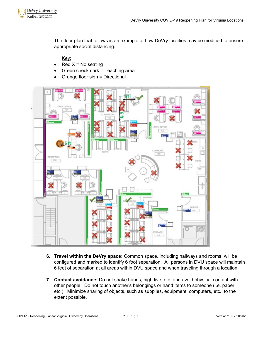

The floor plan that follows is an example of how DeVry facilities may be modified to ensure appropriate social distancing.

Key:

- $Red X = No$  seating
- Green checkmark = Teaching area
- Orange floor sign = Directional



- **6. Travel within the DeVry space:** Common space, including hallways and rooms, will be configured and marked to identify 6 foot separation. All persons in DVU space will maintain 6 feet of separation at all areas within DVU space and when traveling through a location.
- **7. Contact avoidance:** Do not shake hands, high five, etc. and avoid physical contact with other people. Do not touch another's belongings or hand items to someone (i.e. paper, etc.). Minimize sharing of objects, such as supplies, equipment, computers, etc., to the extent possible.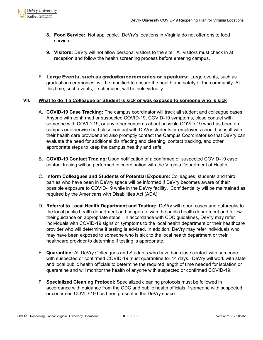

- **8. Food Service:** Not applicable. DeVry's locations in Virginia do not offer onsite food service.
- **9. Visitors:** DeVry will not allow personal visitors to the site. All visitors must check in at reception and follow the health screening process before entering campus.
- F. **Large Events, such as graduation ceremonies or speakers:** Large events, such as graduation ceremonies, will be modified to ensure the health and safety of the community. At this time, such events, if scheduled, will be held virtually.

## **VII. What to do if a Colleague or Student is sick or was exposed to someone who is sick**

- A. **COVID-19 Case Tracking:** The campus coordinator will track all student and colleague cases. Anyone with confirmed or suspected COVID-19, COVID-19 symptoms, close contact with someone with COVID-19, or any other concerns about possible COVID-19 who has been on campus or otherwise had close contact with DeVry students or employees should consult with their health care provider and also promptly contact the Campus Coordinator so that DeVry can evaluate the need for additional disinfecting and cleaning, contact tracking, and other appropriate steps to keep the campus healthy and safe.
- B. **COVID-19 Contact Tracing:** Upon notification of a confirmed or suspected COVID-19 case, contact tracing will be performed in coordination with the Virginia Department of Health.
- C. **Inform Colleagues and Students of Potential Exposure:** Colleagues, students and third parties who have been in DeVry space will be informed if DeVry becomes aware of their possible exposure to COVID-19 while in the DeVry facility. Confidentiality will be maintained as required by the Americans with Disabilities Act (ADA).
- D. **Referral to Local Health Department and Testing:** DeVry will report cases and outbreaks to the local public health department and cooperate with the public health department and follow their guidance on appropriate steps. In accordance with CDC guidelines, DeVry may refer individuals with COVID-19 signs or symptoms to the local health department or their healthcare provider who will determine if testing is advised. In addition, DeVry may refer individuals who may have been exposed to someone who is sick to the local health department or their healthcare provider to determine if testing is appropriate.
- E. **Quarantine:** All DeVry Colleagues and Students who have had close contact with someone with suspected or confirmed COVID-19 must quarantine for 14 days. DeVry will work with state and local public health officials to determine the required length of time needed for isolation or quarantine and will monitor the health of anyone with suspected or confirmed COVID-19.
- F. **Specialized Cleaning Protocol:** Specialized cleaning protocols must be followed in accordance with guidance from the CDC and public health officials if someone with suspected or confirmed COVID-19 has been present in the DeVry space.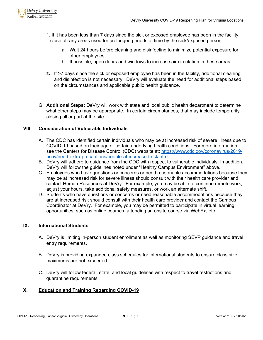

- 1. If it has been less than 7 days since the sick or exposed employee has been in the facility, close off any areas used for prolonged periods of time by the sick/exposed person:
	- a. Wait 24 hours before cleaning and disinfecting to minimize potential exposure for other employees
	- b. If possible, open doors and windows to increase air circulation in these areas.
- **2.** If >7 days since the sick or exposed employee has been in the facility, additional cleaning and disinfection is not necessary. DeVry will evaluate the need for additional steps based on the circumstances and applicable public health guidance.
- G. **Additional Steps:** DeVry will work with state and local public health department to determine what other steps may be appropriate. In certain circumstances, that may include temporarily closing all or part of the site.

## **VIII. Consideration of Vulnerable Individuals**

- A. The CDC has identified certain individuals who may be at increased risk of severe illness due to COVID-19 based on their age or certain underlying health conditions. For more information, see the Centers for Disease Control (CDC) website at: [https://www.cdc.gov/coronavirus/2019](https://www.cdc.gov/coronavirus/2019-ncov/need-extra-precautions/people-at-increased-risk.html) [ncov/need-extra-precautions/people-at-increased-risk.html](https://www.cdc.gov/coronavirus/2019-ncov/need-extra-precautions/people-at-increased-risk.html)
- B. DeVry will adhere to guidance from the CDC with respect to vulnerable individuals. In addition, DeVry will follow the guidelines noted under "Healthy Campus Environment" above.
- C. Employees who have questions or concerns or need reasonable accommodations because they may be at increased risk for severe illness should consult with their health care provider and contact Human Resources at DeVry. For example, you may be able to continue remote work, adjust your hours, take additional safety measures, or work an alternate shift.
- D. Students who have questions or concerns or need reasonable accommodations because they are at increased risk should consult with their health care provider and contact the Campus Coordinator at DeVry. For example, you may be permitted to participate in virtual learning opportunities, such as online courses, attending an onsite course via WebEx, etc.

## **IX. International Students**

- A. DeVry is limiting in-person student enrollment as well as monitoring SEVP guidance and travel entry requirements.
- B. DeVry is providing expanded class schedules for international students to ensure class size maximums are not exceeded.
- C. DeVry will follow federal, state, and local guidelines with respect to travel restrictions and quarantine requirements.

## **X. Education and Training Regarding COVID-19**